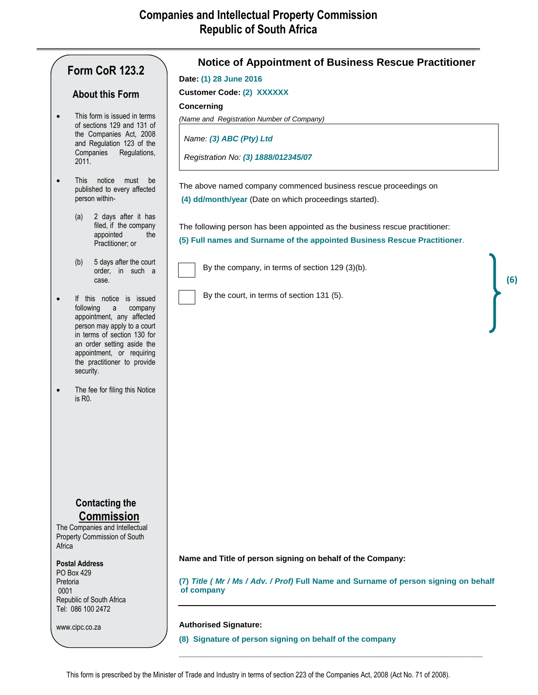**\_\_\_\_\_\_\_\_\_\_\_\_\_\_\_\_\_\_\_\_\_\_\_\_\_\_\_\_\_\_\_\_\_\_\_\_\_\_\_\_\_\_\_\_\_\_\_\_\_\_\_\_\_\_\_\_\_\_\_\_\_\_\_\_\_\_\_\_\_\_\_\_\_\_\_\_\_\_\_**

# **Form CoR 123.2**

### **About this Form**

- This form is issued in terms of sections 129 and 131 of the Companies Act, 2008 and Regulation 123 of the Companies Regulations, 2011.
- This notice must be published to every affected person within-
	- (a) 2 days after it has filed, if the company appointed the Practitioner; or
	- (b) 5 days after the court order, in such a case.
- If this notice is issued following a company appointment, any affected person may apply to a court in terms of section 130 for an order setting aside the appointment, or requiring the practitioner to provide security.
- The fee for filing this Notice is R0.

## **Contacting the Commission**

The Companies and Intellectual Property Commission of South Africa

### **Postal Address**

PO Box 429 Pretoria 0001 Republic of South Africa Tel: 086 100 2472

www.cipc.co.za

## **Notice of Appointment of Business Rescue Practitioner**

**Date: (1) 28 June 2016**

**Customer Code: (2) XXXXXX**

### **Concerning**

*(Name and Registration Number of Company)*

*Name: (3) ABC (Pty) Ltd*

*Registration No: (3) 1888/012345/07*

The above named company commenced business rescue proceedings on **(4) dd/month/year** (Date on which proceedings started).

The following person has been appointed as the business rescue practitioner: **(5) Full names and Surname of the appointed Business Rescue Practitioner**.



By the company, in terms of section 129 (3)(b).

By the court, in terms of section 131 (5).



**Name and Title of person signing on behalf of the Company:**

**(7)** *Title ( Mr / Ms / Adv. / Prof)* **Full Name and Surname of person signing on behalf of company**

**\_\_\_\_\_\_\_\_\_\_\_\_\_\_\_\_\_\_\_\_\_\_\_\_\_\_\_\_\_\_\_\_\_\_\_\_\_\_\_\_\_\_\_\_\_\_\_\_\_\_\_\_\_\_\_\_\_\_\_\_\_\_\_\_\_\_\_\_\_**

#### **Authorised Signature:**

**(8) Signature of person signing on behalf of the company**